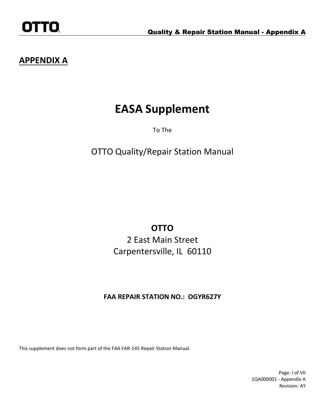# **EASA Supplement**

To The

OTTO Quality/Repair Station Manual

**OTTO**

2 East Main Street Carpentersville, IL 60110

## **FAA REPAIR STATION NO.: OGYR627Y**

This supplement does not form part of the FAA FAR-145 Repair Station Manual.

Page: I of VII 1QA000001 - Appendix A Revision: AY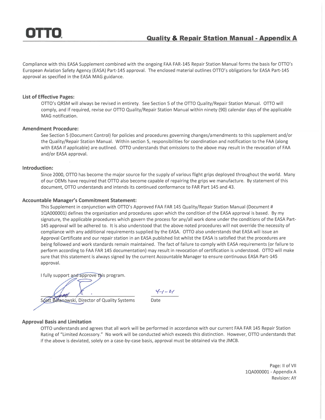Compliance with this EASA Supplement combined with the ongoing FAA FAR-145 Repair Station Manual forms the basis for OTTO's European Aviation Safety Agency (EASA) Part-145 approval. The enclosed material outlines OTTO's obligations for EASA Part-145 approval as specified in the EASA MAG guidance.

#### **List of Effective Pages:**

OTTO's QRSM will always be revised in entirety. See Section 5 of the OTTO Quality/Repair Station Manual. OTTO will comply, and if required, revise our OTTO Quality/Repair Station Manual within ninety (90) calendar days of the applicable MAG notification.

#### **Amendment Procedure:**

See Section 5 (Document Control) for policies and procedures governing changes/amendments to this supplement and/or the Quality/Repair Station Manual. Within section 5, responsibilities for coordination and notification to the FAA (along with EASA if applicable) are outlined. OTTO understands that omissions to the above may result in the revocation of FAA and/or EASA approval.

#### Introduction:

Since 2000, OTTO has become the major source for the supply of various flight grips deployed throughout the world. Many of our OEMs have required that OTTO also become capable of repairing the grips we manufacture. By statement of this document, OTTO understands and intends its continued conformance to FAR Part 145 and 43.

#### **Accountable Manager's Commitment Statement:**

This Supplement in conjunction with OTTO's Approved FAA FAR 145 Quality/Repair Station Manual (Document # 1QA000001) defines the organization and procedures upon which the condition of the EASA approval is based. By my signature, the applicable procedures which govern the process for any/all work done under the conditions of the EASA Part-145 approval will be adhered to. It is also understood that the above noted procedures will not override the necessity of compliance with any additional requirements supplied by the EASA. OTTO also understands that EASA will issue an Approval Certificate and our repair station in an EASA published list whilst the EASA is satisfied that the procedures are being followed and work standards remain maintained. The fact of failure to comply with EASA requirements (or failure to perform according to FAA FAR 145 documentation) may result in revocation of certification is understood. OTTO will make sure that this statement is always signed by the current Accountable Manager to ensure continuous EASA Part-145 approval.

I fully support and approve this program.

 $4 - 1 - 21$ 

Scott Bolanowski, Director of Quality Systems

Date

#### **Approval Basis and Limitation**

OTTO understands and agrees that all work will be performed in accordance with our current FAA FAR 145 Repair Station Rating of "Limited Accessory." No work will be conducted which exceeds this distinction. However, OTTO understands that if the above is deviated, solely on a case-by-case basis, approval must be obtained via the JMCB.

> Page: II of VII 1QA000001 - Appendix A **Revision: AY**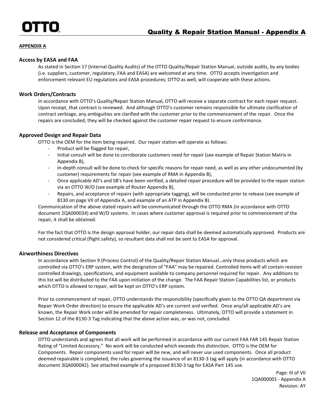#### **Access by EASA and FAA**

As stated in Section 17 (Internal Quality Audits) of the OTTO Quality/Repair Station Manual, outside audits, by any bodies (i.e. suppliers, customer, regulatory, FAA and EASA) are welcomed at any time. OTTO accepts investigation and enforcement relevant EU regulations and EASA procedures; OTTO as well, will cooperate with these actions.

#### **Work Orders/Contracts**

In accordance with OTTO's Quality/Repair Station Manual, OTTO will receive a separate contract for each repair request. Upon receipt, that contract is reviewed. And although OTTO's customer remains responsible for ultimate clarification of contract verbiage, any ambiguities are clarified with the customer prior to the commencement of the repair. Once the repairs are concluded, they will be checked against the customer repair request to ensure conformance.

#### **Approved Design and Repair Data**

OTTO is the OEM for the item being repaired. Our repair station will operate as follows:

- Product will be flagged for repair,
- Initial consult will be done to corroborate customers need for repair (see example of Repair Station Matrix in Appendix B),
- In-depth consult will be done to check for specific reasons for repair need, as well as any other undocumented (by customer) requirements for repair (see example of RMA in Appendix B),
- Once applicable AD's and SB's have been verified, a detailed repair procedure will be provided to the repair station via an OTTO W/O (see example of Router Appendix B),
- Repairs, and acceptance of repairs (with appropriate tagging), will be conducted prior to release (see example of 8130 on page VII of Appendix A, and example of an ATP in Appendix B).

Communication of the above stated repairs will be communicated through the OTTO RMA (in accordance with OTTO document 2QA000034) and W/O systems. In cases where customer approval is required prior to commencement of the repair, it shall be obtained.

For the fact that OTTO is the design approval holder, our repair data shall be deemed automatically approved. Products are not considered critical (flight safety), so resultant data shall not be sent to EASA for approval.

#### **Airworthiness Directives**

In accordance with Section 9 (Process Control) of the Quality/Repair Station Manual…only those products which are controlled via OTTO's ERP system, with the designation of "FAA" may be repaired. Controlled items will all contain revision controlled drawings, specifications, and equipment available to company personnel required for repair. Any additions to this list will be distributed to the FAA upon initiation of the change. The FAA Repair Station Capabilities list, or products which OTTO is allowed to repair, will be kept on OTTO's ERP system.

Prior to commencement of repair, OTTO understands the responsibility (specifically given to the OTTO QA department via Repair Work Order direction) to ensure the applicable AD's are current and verified. Once any/all applicable AD's are known, the Repair Work order will be amended for repair completeness. Ultimately, OTTO will provide a statement in Section 12 of the 8130-3 Tag indicating that the above action was, or was not, concluded.

#### **Release and Acceptance of Components**

OTTO understands and agrees that all work will be performed in accordance with our current FAA FAR 145 Repair Station Rating of "Limited Accessory." No work will be conducted which exceeds this distinction. OTTO is the OEM for Components. Repair components used for repair will be new, and will never use used components. Once all product deemed repairable is completed, the rules governing the issuance of an 8130-3 tag will apply (in accordance with OTTO document 3QA000042). See attached example of a proposed 8130-3 tag for EASA Part 145 use.

> Page: III of VII 1QA000001 - Appendix A Revision: AY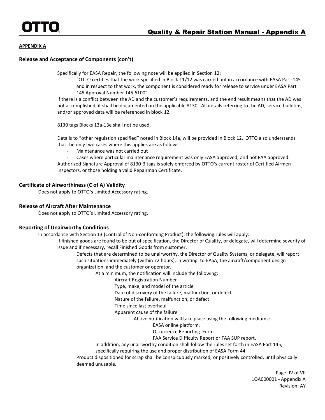#### **Release and Acceptance of Components (con't)**

Specifically for EASA Repair, the following note will be applied in Section 12:

"OTTO certifies that the work specified in Block 11/12 was carried out in accordance with EASA Part-145 and in respect to that work, the component is considered ready for release to service under EASA Part 145 Approval Number 145.6100"

If there is a conflict between the AD and the customer's requirements, and the end result means that the AD was not accomplished, it shall be documented on the applicable 8130. All details referring to the AD, service bulletins, and/or approved data will be referenced in block 12.

8130 tags Blocks 13a-13e shall not be used.

Details to "other regulation specified" noted in Block 14a, will be provided in Block 12. OTTO also understands that the only two cases where this applies are as follows:

Maintenance was not carried out

Cases where particular maintenance requirement was only EASA approved, and not FAA approved. Authorized Signature Approval of 8130-3 tags is solely enforced by OTTO's current roster of Certified Airmen Inspectors, or those holding a valid Repairman Certificate.

#### **Certificate of Airworthiness (C of A) Validity**

Does not apply to OTTO's Limited Accessory rating.

#### **Release of Aircraft After Maintenance**

Does not apply to OTTO's Limited Accessory rating.

#### **Reporting of Unairworthy Conditions**

In accordance with Section 13 (Control of Non-conforming Product), the following rules will apply:

If finished goods are found to be out of specification, the Director of Quality, or delegate, will determine severity of issue and if necessary, recall Finished Goods from customer.

Defects that are determined to be unairworthy, the Director of Quality Systems, or delegate, will report such situations immediately (within 72 hours), in writing, to EASA, the aircraft/component design organization, and the customer or operator.

At a minimum, the notification will include the following:

Aircraft Registration Number

Type, make, and model of the article

Date of discovery of the failure, malfunction, or defect

Nature of the failure, malfunction, or defect

Time since last overhaul

Apparent cause of the failure

Above notification will take place using the following mediums:

EASA online platform,

Occurrence Reporting Form

FAA Service Difficulty Report or FAA SUP report.

In addition, any unairworthy condition shall follow the rules set forth in EASA Part 145,

specifically requiring the use and proper distribution of EASA Form 44.

Product dispositioned for scrap shall be conspicuously marked, or positively controlled, until physically deemed unusable.

> Page: IV of VII 1QA000001 - Appendix A Revision: AY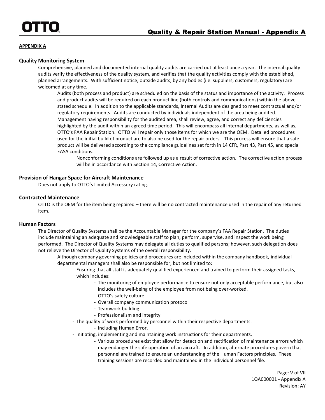#### **Quality Monitoring System**

Comprehensive, planned and documented internal quality audits are carried out at least once a year. The internal quality audits verify the effectiveness of the quality system, and verifies that the quality activities comply with the established, planned arrangements. With sufficient notice, outside audits, by any bodies (i.e. suppliers, customers, regulatory) are welcomed at any time.

Audits (both process and product) are scheduled on the basis of the status and importance of the activity. Process and product audits will be required on each product line (both controls and communications) within the above stated schedule. In addition to the applicable standards, Internal Audits are designed to meet contractual and/or regulatory requirements. Audits are conducted by individuals independent of the area being audited. Management having responsibility for the audited area, shall review, agree, and correct any deficiencies highlighted by the audit within an agreed time period. This will encompass all internal departments, as well as, OTTO's FAA Repair Station. OTTO will repair only those items for which we are the OEM. Detailed procedures used for the initial build of product are to also be used for the repair orders. This process will ensure that a safe product will be delivered according to the compliance guidelines set forth in 14 CFR, Part 43, Part 45, and special EASA conditions.

Nonconforming conditions are followed up as a result of corrective action. The corrective action process will be in accordance with Section 14, Corrective Action.

#### **Provision of Hangar Space for Aircraft Maintenance**

Does not apply to OTTO's Limited Accessory rating.

#### **Contracted Maintenance**

OTTO is the OEM for the item being repaired – there will be no contracted maintenance used in the repair of any returned item.

#### **Human Factors**

The Director of Quality Systems shall be the Accountable Manager for the company's FAA Repair Station. The duties include maintaining an adequate and knowledgeable staff to plan, perform, supervise, and inspect the work being performed. The Director of Quality Systems may delegate all duties to qualified persons; however, such delegation does not relieve the Director of Quality Systems of the overall responsibility.

Although company governing policies and procedures are included within the company handbook, individual departmental managers shall also be responsible for; but not limited to:

- Ensuring that all staff is adequately qualified experienced and trained to perform their assigned tasks, which includes:
	- The monitoring of employee performance to ensure not only acceptable performance, but also includes the well-being of the employee from not being over-worked.
	- OTTO's safety culture
	- Overall company communication protocol
	- Teamwork building
	- Professionalism and integrity
- The quality of work performed by personnel within their respective departments.
	- Including Human Error.
- Initiating, implementing and maintaining work instructions for their departments.
	- Various procedures exist that allow for detection and rectification of maintenance errors which may endanger the safe operation of an aircraft. In addition, alternate procedures govern that personnel are trained to ensure an understanding of the Human Factors principles. These training sessions are recorded and maintained in the individual personnel file.

Page: V of VII 1QA000001 - Appendix A Revision: AY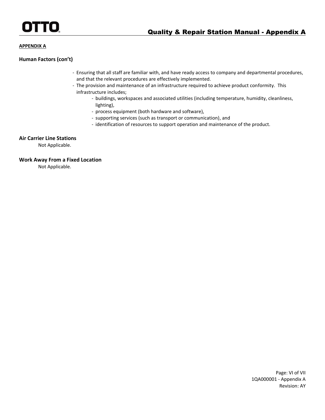#### **Human Factors (con't)**

- Ensuring that all staff are familiar with, and have ready access to company and departmental procedures, and that the relevant procedures are effectively implemented.
- The provision and maintenance of an infrastructure required to achieve product conformity. This infrastructure includes;
	- buildings, workspaces and associated utilities (including temperature, humidity, cleanliness, lighting),
	- process equipment (both hardware and software),
	- supporting services (such as transport or communication), and
	- identification of resources to support operation and maintenance of the product.

#### **Air Carrier Line Stations**

Not Applicable.

#### **Work Away From a Fixed Location**

Not Applicable.

Page: VI of VII 1QA000001 - Appendix A Revision: AY